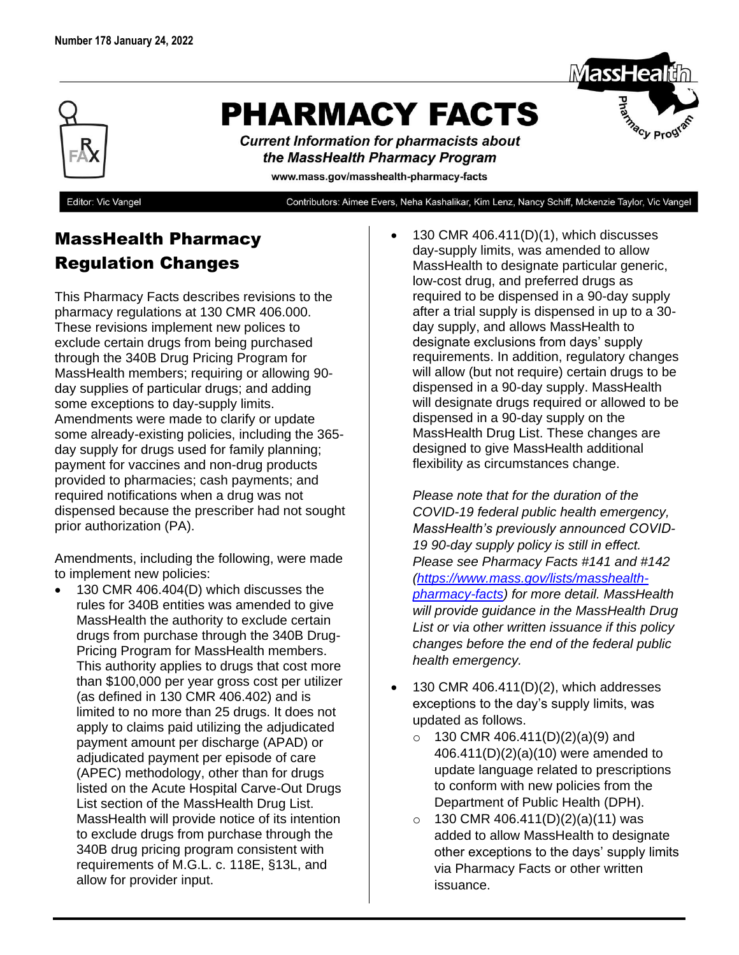

## **PHARMACY FACTS**

**Current Information for pharmacists about** the MassHealth Pharmacy Program

www.mass.gov/masshealth-pharmacy-facts

Editor: Vic Vangel

Contributors: Aimee Evers, Neha Kashalikar, Kim Lenz, Nancy Schiff, Mckenzie Taylor, Vic Vangel

## MassHealth Pharmacy Regulation Changes

This Pharmacy Facts describes revisions to the pharmacy regulations at 130 CMR 406.000. These revisions implement new polices to exclude certain drugs from being purchased through the 340B Drug Pricing Program for MassHealth members; requiring or allowing 90 day supplies of particular drugs; and adding some exceptions to day-supply limits. Amendments were made to clarify or update some already-existing policies, including the 365 day supply for drugs used for family planning; payment for vaccines and non-drug products provided to pharmacies; cash payments; and required notifications when a drug was not dispensed because the prescriber had not sought prior authorization (PA).

Amendments, including the following, were made to implement new policies:

• 130 CMR 406.404(D) which discusses the rules for 340B entities was amended to give MassHealth the authority to exclude certain drugs from purchase through the 340B Drug-Pricing Program for MassHealth members. This authority applies to drugs that cost more than \$100,000 per year gross cost per utilizer (as defined in 130 CMR 406.402) and is limited to no more than 25 drugs. It does not apply to claims paid utilizing the adjudicated payment amount per discharge (APAD) or adjudicated payment per episode of care (APEC) methodology, other than for drugs listed on the Acute Hospital Carve-Out Drugs List section of the MassHealth Drug List. MassHealth will provide notice of its intention to exclude drugs from purchase through the 340B drug pricing program consistent with requirements of M.G.L. c. 118E, §13L, and allow for provider input.

• 130 CMR 406.411(D)(1), which discusses day-supply limits, was amended to allow MassHealth to designate particular generic, low-cost drug, and preferred drugs as required to be dispensed in a 90-day supply after a trial supply is dispensed in up to a 30 day supply, and allows MassHealth to designate exclusions from days' supply requirements. In addition, regulatory changes will allow (but not require) certain drugs to be dispensed in a 90-day supply. MassHealth will designate drugs required or allowed to be dispensed in a 90-day supply on the MassHealth Drug List. These changes are designed to give MassHealth additional flexibility as circumstances change.

*Please note that for the duration of the COVID-19 federal public health emergency, MassHealth's previously announced COVID-19 90-day supply policy is still in effect. Please see Pharmacy Facts #141 and #142 [\(https://www.mass.gov/lists/masshealth](https://www.mass.gov/lists/masshealth-pharmacy-facts)[pharmacy-facts\)](https://www.mass.gov/lists/masshealth-pharmacy-facts) for more detail. MassHealth will provide guidance in the MassHealth Drug List or via other written issuance if this policy changes before the end of the federal public health emergency.* 

- $\bullet$  130 CMR 406.411(D)(2), which addresses exceptions to the day's supply limits, was updated as follows.
	- $\circ$  130 CMR 406.411(D)(2)(a)(9) and 406.411(D)(2)(a)(10) were amended to update language related to prescriptions to conform with new policies from the Department of Public Health (DPH).
	- $\circ$  130 CMR 406.411(D)(2)(a)(11) was added to allow MassHealth to designate other exceptions to the days' supply limits via Pharmacy Facts or other written issuance.